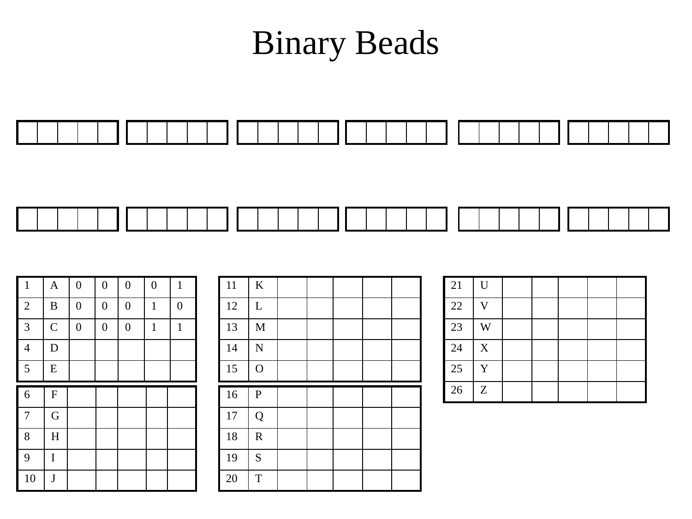## Binary Beads



| $\mathbf{1}$   | $\boldsymbol{\mathsf{A}}$ | $\boldsymbol{0}$ | $\boldsymbol{0}$ | $\boldsymbol{0}$ | $\boldsymbol{0}$ | $\mathbf{1}$     |
|----------------|---------------------------|------------------|------------------|------------------|------------------|------------------|
| $\overline{2}$ | $\bf{B}$                  | $\boldsymbol{0}$ | $\boldsymbol{0}$ | $\boldsymbol{0}$ | $\mathbf{1}$     | $\boldsymbol{0}$ |
| $\overline{3}$ | $\overline{C}$            | $\boldsymbol{0}$ | $\boldsymbol{0}$ | $\boldsymbol{0}$ | $\mathbf{1}$     | $\mathbf{1}$     |
| $\overline{4}$ | $\mathbf D$               |                  |                  |                  |                  |                  |
| $\overline{5}$ | ${\bf E}$                 |                  |                  |                  |                  |                  |
|                |                           |                  |                  |                  |                  |                  |
| 6              | F                         |                  |                  |                  |                  |                  |
| $\overline{7}$ | $\mathbf G$               |                  |                  |                  |                  |                  |
| 8              | $\overline{\mathrm{H}}$   |                  |                  |                  |                  |                  |
| 9              | I                         |                  |                  |                  |                  |                  |

| 11     | $\rm K$            |  |  |  |
|--------|--------------------|--|--|--|
| 12     | $\mathbf L$        |  |  |  |
| 13     | $\mathbf M$        |  |  |  |
| 14     | $\overline{\bf N}$ |  |  |  |
| 15     | $\overline{O}$     |  |  |  |
|        |                    |  |  |  |
| 16     | ${\bf P}$          |  |  |  |
| $17\,$ | Q                  |  |  |  |
| 18     | $\mathbf R$        |  |  |  |
| 19     | S                  |  |  |  |

| 21 | $\mathbf U$    |  |  |  |
|----|----------------|--|--|--|
| 22 | $\overline{V}$ |  |  |  |
| 23 | W              |  |  |  |
| 24 | $\mathbf X$    |  |  |  |
| 25 | Y              |  |  |  |
| 26 | Z              |  |  |  |